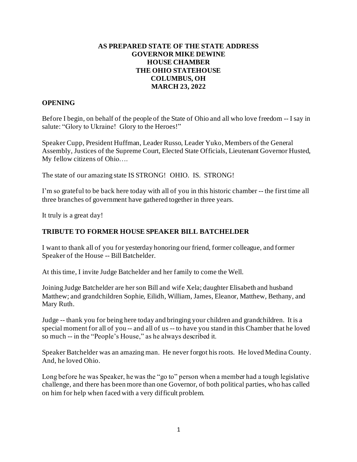### **AS PREPARED STATE OF THE STATE ADDRESS GOVERNOR MIKE DEWINE HOUSE CHAMBER THE OHIO STATEHOUSE COLUMBUS, OH MARCH 23, 2022**

### **OPENING**

Before I begin, on behalf of the people of the State of Ohio and all who love freedom -- I say in salute: "Glory to Ukraine! Glory to the Heroes!"

Speaker Cupp, President Huffman, Leader Russo, Leader Yuko, Members of the General Assembly, Justices of the Supreme Court, Elected State Officials, Lieutenant Governor Husted, My fellow citizens of Ohio….

The state of our amazing state IS STRONG! OHIO. IS. STRONG!

I'm so grateful to be back here today with all of you in this historic chamber -- the first time all three branches of government have gathered together in three years.

It truly is a great day!

#### **TRIBUTE TO FORMER HOUSE SPEAKER BILL BATCHELDER**

I want to thank all of you for yesterday honoring our friend, former colleague, and former Speaker of the House -- Bill Batchelder.

At this time, I invite Judge Batchelder and her family to come the Well.

Joining Judge Batchelder are her son Bill and wife Xela; daughter Elisabeth and husband Matthew; and grandchildren Sophie, Eilidh, William, James, Eleanor, Matthew, Bethany, and Mary Ruth.

Judge -- thank you for being here today and bringing your children and grandchildren. It is a special moment for all of you -- and all of us -- to have you stand in this Chamber that he loved so much -- in the "People's House," as he always described it.

Speaker Batchelder was an amazing man. He never forgot his roots. He loved Medina County. And, he loved Ohio.

Long before he was Speaker, he was the "go to" person when a member had a tough legislative challenge, and there has been more than one Governor, of both political parties, who has called on him for help when faced with a very difficult problem.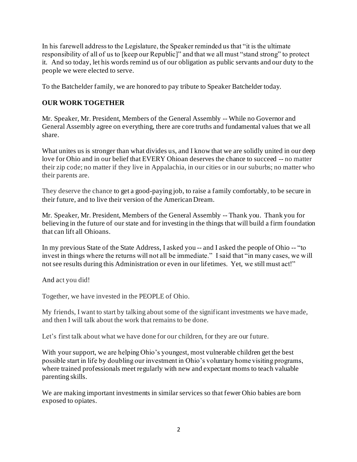In his farewell address to the Legislature, the Speaker reminded us that "it is the ultimate responsibility of all of us to [keep our Republic]" and that we all must "stand strong" to protect it. And so today, let his words remind us of our obligation as public servants and our duty to the people we were elected to serve.

To the Batchelder family, we are honored to pay tribute to Speaker Batchelder today.

## **OUR WORK TOGETHER**

Mr. Speaker, Mr. President, Members of the General Assembly -- While no Governor and General Assembly agree on everything, there are core truths and fundamental values that we all share.

What unites us is stronger than what divides us, and I know that we are solidly united in our deep love for Ohio and in our belief that EVERY Ohioan deserves the chance to succeed -- no matter their zip code; no matter if they live in Appalachia, in our cities or in our suburbs; no matter who their parents are.

They deserve the chance to get a good-paying job, to raise a family comfortably, to be secure in their future, and to live their version of the American Dream.

Mr. Speaker, Mr. President, Members of the General Assembly -- Thank you. Thank you for believing in the future of our state and for investing in the things that will build a firm foundation that can lift all Ohioans.

In my previous State of the State Address, I asked you -- and I asked the people of Ohio -- "to invest in things where the returns will not all be immediate." I said that "in many cases, we will not see results during this Administration or even in our lifetimes. Yet, we still must act!"

And act you did!

Together, we have invested in the PEOPLE of Ohio.

My friends, I want to start by talking about some of the significant investments we have made, and then I will talk about the work that remains to be done.

Let's first talk about what we have done for our children, for they are our future.

With your support, we are helping Ohio's youngest, most vulnerable children get the best possible start in life by doubling our investment in Ohio's voluntary home visiting programs, where trained professionals meet regularly with new and expectant moms to teach valuable parenting skills.

We are making important investments in similar services so that fewer Ohio babies are born exposed to opiates.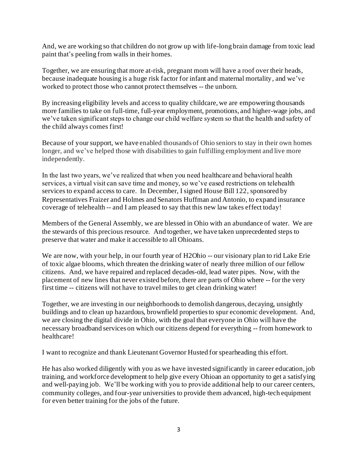And, we are working so that children do not grow up with life-long brain damage from toxic lead paint that's peeling from walls in their homes.

Together, we are ensuring that more at-risk, pregnant mom will have a roof over their heads, because inadequate housing is a huge risk factor for infant and maternal mortality, and we've worked to protect those who cannot protect themselves -- the unborn.

By increasing eligibility levels and access to quality childcare, we are empowering thousands more families to take on full-time, full-year employment, promotions, and higher-wage jobs, and we've taken significant steps to change our child welfare system so that the health and safety of the child always comes first!

Because of your support, we have enabled thousands of Ohio seniors to stay in their own homes longer, and we've helped those with disabilities to gain fulfilling employment and live more independently.

In the last two years, we've realized that when you need healthcare and behavioral health services, a virtual visit can save time and money, so we've eased restrictions on telehealth services to expand access to care. In December, I signed House Bill 122, sponsored by Representatives Fraizer and Holmes and Senators Huffman and Antonio, to expand insurance coverage of telehealth -- and I am pleased to say that this new law takes effect today!

Members of the General Assembly, we are blessed in Ohio with an abundance of water. We are the stewards of this precious resource. And together, we have taken unprecedented steps to preserve that water and make it accessible to all Ohioans.

We are now, with your help, in our fourth year of H2Ohio -- our visionary plan to rid Lake Erie of toxic algae blooms, which threaten the drinking water of nearly three million of our fellow citizens. And, we have repaired and replaced decades-old, lead water pipes. Now, with the placement of new lines that never existed before, there are parts of Ohio where -- for the very first time -- citizens will not have to travel miles to get clean drinking water!

Together, we are investing in our neighborhoods to demolish dangerous, decaying, unsightly buildings and to clean up hazardous, brownfield properties to spur economic development. And, we are closing the digital divide in Ohio, with the goal that everyone in Ohio will have the necessary broadband services on which our citizens depend for everything -- from homework to healthcare!

I want to recognize and thank Lieutenant Governor Husted for spearheading this effort.

He has also worked diligently with you as we have invested significantly in career education, job training, and workforce development to help give every Ohioan an opportunity to get a satisfying and well-paying job. We'll be working with you to provide additional help to our career centers, community colleges, and four-year universities to provide them advanced, high-tech equipment for even better training for the jobs of the future.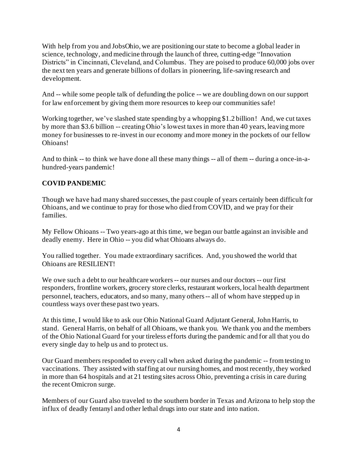With help from you and JobsOhio, we are positioning our state to become a global leader in science, technology, and medicine through the launch of three, cutting-edge "Innovation Districts" in Cincinnati, Cleveland, and Columbus. They are poised to produce 60,000 jobs over the next ten years and generate billions of dollars in pioneering, life-saving research and development.

And -- while some people talk of defunding the police -- we are doubling down on our support for law enforcement by giving them more resources to keep our communities safe!

Working together, we've slashed state spending by a whopping \$1.2 billion! And, we cut taxes by more than \$3.6 billion -- creating Ohio's lowest taxes in more than 40 years, leaving more money for businesses to re-invest in our economy and more money in the pockets of our fellow Ohioans!

And to think -- to think we have done all these many things -- all of them -- during a once-in-ahundred-years pandemic!

# **COVID PANDEMIC**

Though we have had many shared successes, the past couple of years certainly been difficult for Ohioans, and we continue to pray for those who died from COVID, and we pray for their families.

My Fellow Ohioans -- Two years-ago at this time, we began our battle against an invisible and deadly enemy. Here in Ohio -- you did what Ohioans always do.

You rallied together. You made extraordinary sacrifices. And, you showed the world that Ohioans are RESILIENT!

We owe such a debt to our healthcare workers -- our nurses and our doctors -- our first responders, frontline workers, grocery store clerks, restaurant workers, local health department personnel, teachers, educators, and so many, many others -- all of whom have stepped up in countless ways over these past two years.

At this time, I would like to ask our Ohio National Guard Adjutant General, John Harris, to stand. General Harris, on behalf of all Ohioans, we thank you. We thank you and the members of the Ohio National Guard for your tireless efforts during the pandemic and for all that you do every single day to help us and to protect us.

Our Guard members responded to every call when asked during the pandemic -- from testing to vaccinations. They assisted with staffing at our nursing homes, and most recently, they worked in more than 64 hospitals and at 21 testing sites across Ohio, preventing a crisis in care during the recent Omicron surge.

Members of our Guard also traveled to the southern border in Texas and Arizona to help stop the influx of deadly fentanyl and other lethal drugs into our state and into nation.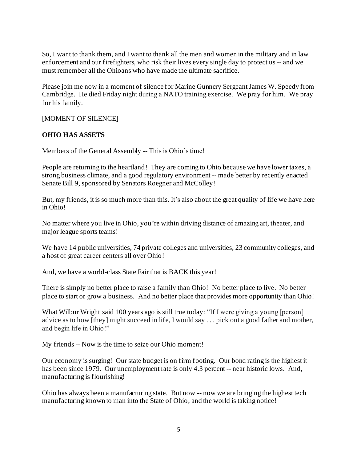So, I want to thank them, and I want to thank all the men and women in the military and in law enforcement and our firefighters, who risk their lives every single day to protect us -- and we must remember all the Ohioans who have made the ultimate sacrifice.

Please join me now in a moment of silence for Marine Gunnery Sergeant James W. Speedy from Cambridge. He died Friday night during a NATO training exercise. We pray for him. We pray for his family.

[MOMENT OF SILENCE]

### **OHIO HAS ASSETS**

Members of the General Assembly -- This is Ohio's time!

People are returning to the heartland! They are coming to Ohio because we have lower taxes, a strong business climate, and a good regulatory environment -- made better by recently enacted Senate Bill 9, sponsored by Senators Roegner and McColley!

But, my friends, it is so much more than this. It's also about the great quality of life we have here in Ohio!

No matter where you live in Ohio, you're within driving distance of amazing art, theater, and major league sports teams!

We have 14 public universities, 74 private colleges and universities, 23 community colleges, and a host of great career centers all over Ohio!

And, we have a world-class State Fair that is BACK this year!

There is simply no better place to raise a family than Ohio! No better place to live. No better place to start or grow a business. And no better place that provides more opportunity than Ohio!

What Wilbur Wright said 100 years ago is still true today: "If I were giving a young [person] advice as to how [they] might succeed in life, I would say . . . pick out a good father and mother, and begin life in Ohio!"

My friends -- Now is the time to seize our Ohio moment!

Our economy is surging! Our state budget is on firm footing. Our bond rating is the highest it has been since 1979. Our unemployment rate is only 4.3 percent -- near historic lows. And, manufacturing is flourishing!

Ohio has always been a manufacturing state. But now -- now we are bringing the highest tech manufacturing known to man into the State of Ohio, and the world is taking notice!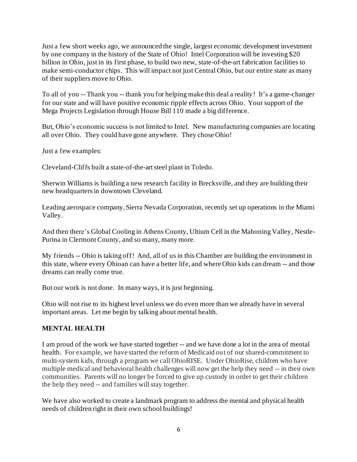Just a few short weeks ago, we announced the single, largest economic development investment by one company in the history of the State of Ohio! Intel Corporation will be investing \$20 billion in Ohio, just in its first phase, to build two new, state-of-the-art fabrication facilities to make semi-conductor chips. This will impact not just Central Ohio, but our entire state as many of their suppliers move to Ohio.

To all of you -- Thank you -- thank you for helping make this deal a reality! It's a game-changer for our state and will have positive economic ripple effects across Ohio. Your support of the Mega Projects Legislation through House Bill 110 made a big difference.

But, Ohio's economic success is not limited to Intel. New manufacturing companies are locating all over Ohio. They could have gone anywhere. They chose Ohio!

Just a few examples:

Cleveland-Cliffs built a state-of-the-artsteel plant in Toledo.

Sherwin Williams is building a new research facility in Brecksville, and they are building their new headquarters in downtown Cleveland.

Leading aerospace company, Sierra Nevada Corporation, recently set up operations in the Miami Valley.

And then there's Global Cooling in Athens County, Ultium Cell in the Mahoning Valley, Nestle-Purina in Clermont County, and so many, many more.

My friends -- Ohio is taking off! And, all of us in this Chamber are building the environment in this state, where every Ohioan can have a better life, and where Ohio kids can dream -- and those dreams can really come true.

But our work is not done. In many ways, it is just beginning.

Ohio will not rise to its highest level unless we do even more than we already have in several important areas. Let me begin by talking about mental health.

### **MENTAL HEALTH**

I am proud of the work we have started together -- and we have done a lot in the area of mental health. For example, we have started the reform of Medicaid out of our shared-commitment to multi-system kids, through a program we call OhioRISE. Under OhioRise, children who have multiple medical and behavioral health challenges will now get the help they need -- in their own communities. Parents will no longer be forced to give up custody in order to get their children the help they need -- and families will stay together.

We have also worked to create a landmark program to address the mental and physical health needs of children right in their own school buildings!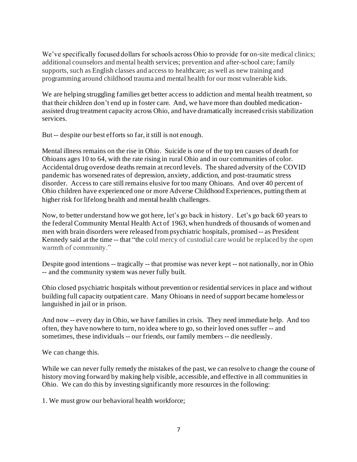We've specifically focused dollars for schools across Ohio to provide for on-site medical clinics; additional counselors and mental health services; prevention and after-school care; family supports, such as English classes and access to healthcare; as well as new training and programming around childhood trauma and mental health for our most vulnerable kids.

We are helping struggling families get better access to addiction and mental health treatment, so that their children don't end up in foster care. And, we have more than doubled medicationassisted drug treatment capacity across Ohio, and have dramatically increased crisis stabilization services.

But -- despite our best efforts so far, it still is not enough.

Mental illness remains on the rise in Ohio. Suicide is one of the top ten causes of death for Ohioans ages 10 to 64, with the rate rising in rural Ohio and in our communities of color. Accidental drug overdose deaths remain at record levels. The shared adversity of the COVID pandemic has worsened rates of depression, anxiety, addiction, and post-traumatic stress disorder. Access to care still remains elusive for too many Ohioans. And over 40 percent of Ohio children have experienced one or more Adverse Childhood Experiences, putting them at higher risk for lifelong health and mental health challenges.

Now, to better understand how we got here, let's go back in history. Let's go back 60 years to the federal Community Mental Health Act of 1963, when hundreds of thousands of women and men with brain disorders were released from psychiatric hospitals, promised -- as President Kennedy said at the time -- that "the cold mercy of custodial care would be replaced by the open warmth of community."

Despite good intentions -- tragically -- that promise was never kept -- not nationally, nor in Ohio -- and the community system was never fully built.

Ohio closed psychiatric hospitals without prevention or residential services in place and without building full capacity outpatient care. Many Ohioans in need of support became homeless or languished in jail or in prison.

And now -- every day in Ohio, we have families in crisis. They need immediate help. And too often, they have nowhere to turn, no idea where to go, so their loved ones suffer -- and sometimes, these individuals -- our friends, our family members -- die needlessly.

We can change this.

While we can never fully remedy the mistakes of the past, we can resolve to change the course of history moving forward by making help visible, accessible, and effective in all communities in Ohio. We can do this by investing significantly more resources in the following:

1. We must grow our behavioral health workforce;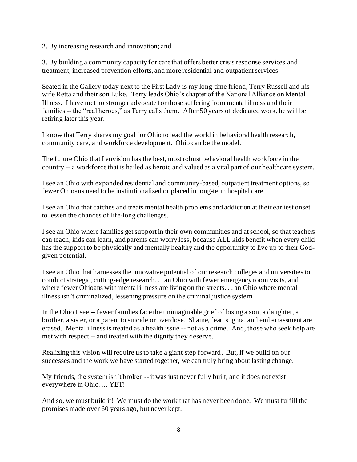#### 2. By increasing research and innovation; and

3. By building a community capacity for care that offers better crisis response services and treatment, increased prevention efforts, and more residential and outpatient services.

Seated in the Gallery today next to the First Lady is my long-time friend, Terry Russell and his wife Retta and their son Luke. Terry leads Ohio's chapter of the National Alliance on Mental Illness. I have met no stronger advocate for those suffering from mental illness and their families -- the "real heroes," as Terry calls them. After 50 years of dedicated work, he will be retiring later this year.

I know that Terry shares my goal for Ohio to lead the world in behavioral health research, community care, and workforce development. Ohio can be the model.

The future Ohio that I envision has the best, most robust behavioral health workforce in the country -- a workforce that is hailed as heroic and valued as a vital part of our healthcare system.

I see an Ohio with expanded residential and community-based, outpatient treatment options, so fewer Ohioans need to be institutionalized or placed in long-term hospital care.

I see an Ohio that catches and treats mental health problems and addiction at their earliest onset to lessen the chances of life-long challenges.

I see an Ohio where families get support in their own communities and at school, so that teachers can teach, kids can learn, and parents can worry less, because ALL kids benefit when every child has the support to be physically and mentally healthy and the opportunity to live up to their Godgiven potential.

I see an Ohio that harnesses the innovative potential of our research colleges and universities to conduct strategic, cutting-edge research. . . an Ohio with fewer emergency room visits, and where fewer Ohioans with mental illness are living on the streets. . . an Ohio where mental illness isn't criminalized, lessening pressure on the criminal justice system.

In the Ohio I see -- fewer families face the unimaginable grief of losing a son, a daughter, a brother, a sister, or a parent to suicide or overdose. Shame, fear, stigma, and embarrassment are erased. Mental illness is treated as a health issue -- not as a crime. And, those who seek help are met with respect -- and treated with the dignity they deserve.

Realizing this vision will require us to take a giant step forward. But, if we build on our successes and the work we have started together, we can truly bring about lasting change.

My friends, the system isn't broken -- it was just never fully built, and it does not exist everywhere in Ohio…. YET!

And so, we must build it! We must do the work that has never been done. We must fulfill the promises made over 60 years ago, but never kept.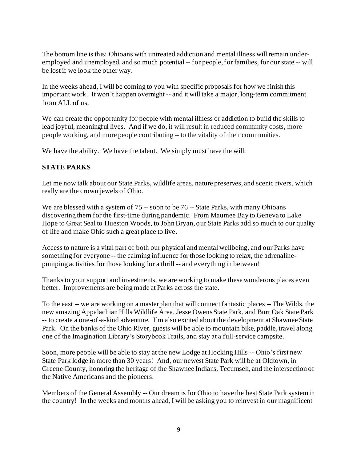The bottom line is this: Ohioans with untreated addiction and mental illness will remain underemployed and unemployed, and so much potential -- for people, for families, for our state -- will be lost if we look the other way.

In the weeks ahead, I will be coming to you with specific proposals for how we finish this important work. It won't happen overnight -- and it will take a major, long-term commitment from ALL of us.

We can create the opportunity for people with mental illness or addiction to build the skills to lead joyful, meaningful lives. And if we do, it will result in reduced community costs, more people working, and more people contributing -- to the vitality of their communities.

We have the ability. We have the talent. We simply must have the will.

### **STATE PARKS**

Let me now talk about our State Parks, wildlife areas, nature preserves, and scenic rivers, which really are the crown jewels of Ohio.

We are blessed with a system of 75 -- soon to be 76 -- State Parks, with many Ohioans discovering them for the first-time during pandemic. From Maumee Bay to Geneva to Lake Hope to Great Seal to Hueston Woods, to John Bryan, our State Parks add so much to our quality of life and make Ohio such a great place to live.

Access to nature is a vital part of both our physical and mental wellbeing, and our Parks have something for everyone -- the calming influence for those looking to relax, the adrenalinepumping activities for those looking for a thrill -- and everything in between!

Thanks to your support and investments, we are working to make these wonderous places even better. Improvements are being made at Parks across the state.

To the east -- we are working on a masterplan that will connect fantastic places -- The Wilds, the new amazing Appalachian Hills Wildlife Area, Jesse Owens State Park, and Burr Oak State Park -- to create a one-of-a-kind adventure. I'm also excited about the development at Shawnee State Park. On the banks of the Ohio River, guests will be able to mountain bike, paddle, travel along one of the Imagination Library's Storybook Trails, and stay at a full-service campsite.

Soon, more people will be able to stay at the new Lodge at Hocking Hills -- Ohio's first new State Park lodge in more than 30 years! And, our newest State Park will be at Oldtown, in Greene County, honoring the heritage of the Shawnee Indians, Tecumseh, and the intersection of the Native Americans and the pioneers.

Members of the General Assembly -- Our dream is for Ohio to have the best State Park system in the country! In the weeks and months ahead, I will be asking you to reinvest in our magnificent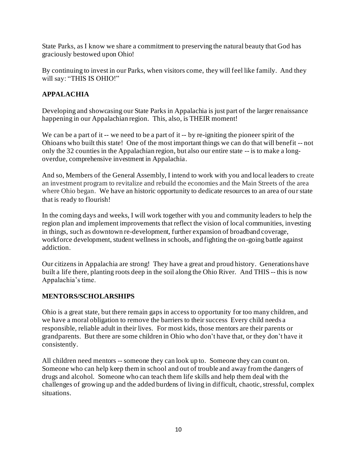State Parks, as I know we share a commitment to preserving the natural beauty that God has graciously bestowed upon Ohio!

By continuing to invest in our Parks, when visitors come, they will feel like family. And they will say: "THIS IS OHIO!"

## **APPALACHIA**

Developing and showcasing our State Parks in Appalachia is just part of the larger renaissance happening in our Appalachian region. This, also, is THEIR moment!

We can be a part of it -- we need to be a part of it -- by re-igniting the pioneer spirit of the Ohioans who built this state! One of the most important things we can do that will benefit -- not only the 32 counties in the Appalachian region, but also our entire state -- is to make a longoverdue, comprehensive investment in Appalachia.

And so, Members of the General Assembly, I intend to work with you and local leaders to create an investment program to revitalize and rebuild the economies and the Main Streets of the area where Ohio began. We have an historic opportunity to dedicate resources to an area of our state that is ready to flourish!

In the coming days and weeks, I will work together with you and community leaders to help the region plan and implement improvements that reflect the vision of local communities, investing in things, such as downtown re-development, further expansion of broadband coverage, workforce development, student wellness in schools, and fighting the on-going battle against addiction.

Our citizens in Appalachia are strong! They have a great and proud history. Generations have built a life there, planting roots deep in the soil along the Ohio River. And THIS -- this is now Appalachia's time.

### **MENTORS/SCHOLARSHIPS**

Ohio is a great state, but there remain gaps in access to opportunity for too many children, and we have a moral obligation to remove the barriers to their success Every child needs a responsible, reliable adult in their lives. For most kids, those mentors are their parents or grandparents. But there are some children in Ohio who don't have that, or they don't have it consistently.

All children need mentors -- someone they can look up to. Someone they can count on. Someone who can help keep them in school and out of trouble and away from the dangers of drugs and alcohol. Someone who can teach them life skills and help them deal with the challenges of growing up and the added burdens of living in difficult, chaotic, stressful, complex situations.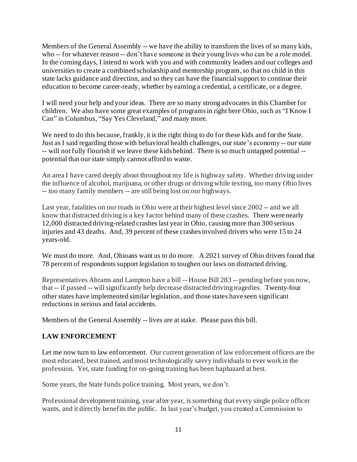Members of the General Assembly -- we have the ability to transform the lives of so many kids, who -- for whatever reason -- don't have someone in their young lives who can be a role model. In the coming days, I intend to work with you and with community leaders and our colleges and universities to create a combined scholarship and mentorship program,so that no child in this state lacks guidance and direction, and so they can have the financial support to continue their education to become career-ready, whether by earning a credential, a certificate, or a degree.

I will need your help and your ideas. There are so many strong advocates in this Chamber for children. We also have some great examples of programs in right here Ohio, such as "I Know I Can" in Columbus, "Say Yes Cleveland," and many more.

We need to do this because, frankly, it is the right thing to do for these kids and for the State. Just as I said regarding those with behavioral health challenges, our state's economy -- our state -- will not fully flourish if we leave these kids behind. There is so much untapped potential - potential that our state simply cannot afford to waste.

An area I have cared deeply about throughout my life is highway safety. Whether driving under the influence of alcohol, marijuana, or other drugs or driving while texting, too many Ohio lives -- too many family members -- are still being lost on our highways.

Last year, fatalities on our roads in Ohio were at their highest level since 2002 -- and we all know that distracted driving is a key factor behind many of these crashes. There were nearly 12,000 distracted driving-related crashes last year in Ohio, causing more than 300 serious injuries and 43 deaths. And, 39 percent of these crashes involved drivers who were 15 to 24 years-old.

We must do more. And, Ohioans want us to do more. A 2021 survey of Ohio drivers found that 78 percent of respondents support legislation to toughen our laws on distracted driving.

Representatives Abrams and Lampton have a bill -- House Bill 283 -- pending before you now, that -- if passed -- will significantly help decrease distracted driving tragedies. Twenty-four other states have implemented similar legislation, and those states have seen significant reductions in serious and fatal accidents.

Members of the General Assembly -- lives are at stake. Please pass this bill.

### **LAW ENFORCEMENT**

Let me now turn to law enforcement. Our current generation of law enforcement officers are the most educated, best trained, and most technologically savvy individuals to ever work in the profession. Yet, state funding for on-going training has been haphazard at best.

Some years, the State funds police training. Most years, we don't.

Professional development training, year after year, is something that every single police officer wants, and it directly benefits the public. In last year's budget, you created a Commission to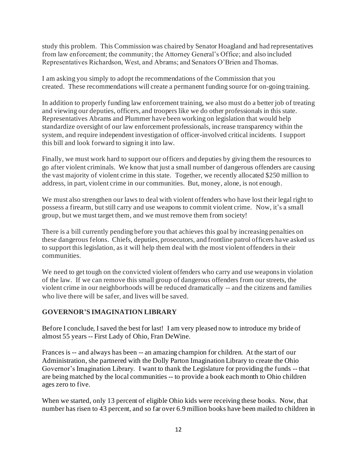study this problem. This Commission was chaired by Senator Hoagland and had representatives from law enforcement; the community; the Attorney General's Office; and also included Representatives Richardson, West, and Abrams; and Senators O'Brien and Thomas.

I am asking you simply to adopt the recommendations of the Commission that you created. These recommendations will create a permanent funding source for on-going training.

In addition to properly funding law enforcement training, we also must do a better job of treating and viewing our deputies, officers, and troopers like we do other professionals in this state. Representatives Abrams and Plummer have been working on legislation that would help standardize oversight of our law enforcement professionals, increase transparency within the system, and require independent investigation of officer-involved critical incidents. I support this bill and look forward to signing it into law.

Finally, we must work hard to support our officers and deputies by giving them the resources to go after violent criminals. We know that just a small number of dangerous offenders are causing the vast majority of violent crime in this state. Together, we recently allocated \$250 million to address, in part, violent crime in our communities. But, money, alone, is not enough.

We must also strengthen our laws to deal with violent offenders who have lost their legal right to possess a firearm, but still carry and use weapons to commit violent crime. Now, it's a small group, but we must target them, and we must remove them from society!

There is a bill currently pending before you that achieves this goal by increasing penalties on these dangerous felons. Chiefs, deputies, prosecutors, and frontline patrol officers have asked us to support this legislation, as it will help them deal with the most violent offenders in their communities.

We need to get tough on the convicted violent offenders who carry and use weapons in violation of the law. If we can remove this small group of dangerous offenders from our streets, the violent crime in our neighborhoods will be reduced dramatically -- and the citizens and families who live there will be safer, and lives will be saved.

### **GOVERNOR'S IMAGINATION LIBRARY**

Before I conclude, I saved the best for last! I am very pleased now to introduce my bride of almost 55 years -- First Lady of Ohio, Fran DeWine.

Frances is -- and always has been -- an amazing champion for children. At the start of our Administration, she partnered with the Dolly Parton Imagination Library to create the Ohio Governor's Imagination Library. I want to thank the Legislature for providing the funds -- that are being matched by the local communities -- to provide a book each month to Ohio children ages zero to five.

When we started, only 13 percent of eligible Ohio kids were receiving these books. Now, that number has risen to 43 percent, and so far over 6.9 million books have been mailed to children in